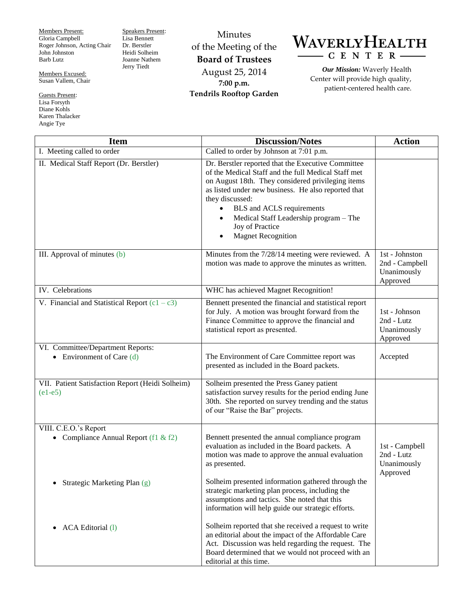Members Present: Gloria Campbell Roger Johnson, Acting Chair John Johnston Barb Lutz

Members Excused: Susan Vallem, Chair

Guests Present: Lisa Forsyth Diane Kohls Karen Thalacker Angie Tye

Speakers Present: Lisa Bennett Dr. Berstler Heidi Solheim Joanne Nathem Jerry Tiedt

Minutes of the Meeting of the **Board of Trustees** August 25, 2014 **7:00 p.m. Tendrils Rooftop Garden**



*Our Mission:* Waverly Health Center will provide high quality, patient-centered health care.

| <b>Item</b>                                                               | <b>Discussion/Notes</b>                                                                                                                                                                                                                                                                                                                                                                   | <b>Action</b>                                               |
|---------------------------------------------------------------------------|-------------------------------------------------------------------------------------------------------------------------------------------------------------------------------------------------------------------------------------------------------------------------------------------------------------------------------------------------------------------------------------------|-------------------------------------------------------------|
| I. Meeting called to order                                                | Called to order by Johnson at 7:01 p.m.                                                                                                                                                                                                                                                                                                                                                   |                                                             |
| II. Medical Staff Report (Dr. Berstler)                                   | Dr. Berstler reported that the Executive Committee<br>of the Medical Staff and the full Medical Staff met<br>on August 18th. They considered privileging items<br>as listed under new business. He also reported that<br>they discussed:<br>BLS and ACLS requirements<br>$\bullet$<br>Medical Staff Leadership program - The<br>$\bullet$<br>Joy of Practice<br><b>Magnet Recognition</b> |                                                             |
| III. Approval of minutes (b)                                              | Minutes from the 7/28/14 meeting were reviewed. A<br>motion was made to approve the minutes as written.                                                                                                                                                                                                                                                                                   | 1st - Johnston<br>2nd - Campbell<br>Unanimously<br>Approved |
| IV. Celebrations                                                          | WHC has achieved Magnet Recognition!                                                                                                                                                                                                                                                                                                                                                      |                                                             |
| V. Financial and Statistical Report $(c1 - c3)$                           | Bennett presented the financial and statistical report<br>for July. A motion was brought forward from the<br>Finance Committee to approve the financial and<br>statistical report as presented.                                                                                                                                                                                           | 1st - Johnson<br>2nd - Lutz<br>Unanimously<br>Approved      |
| VI. Committee/Department Reports:<br>Environment of Care (d)<br>$\bullet$ | The Environment of Care Committee report was<br>presented as included in the Board packets.                                                                                                                                                                                                                                                                                               | Accepted                                                    |
| VII. Patient Satisfaction Report (Heidi Solheim)<br>$(e1-e5)$             | Solheim presented the Press Ganey patient<br>satisfaction survey results for the period ending June<br>30th. She reported on survey trending and the status<br>of our "Raise the Bar" projects.                                                                                                                                                                                           |                                                             |
| VIII. C.E.O.'s Report<br>• Compliance Annual Report (f1 & f2)             | Bennett presented the annual compliance program<br>evaluation as included in the Board packets. A<br>motion was made to approve the annual evaluation<br>as presented.                                                                                                                                                                                                                    | 1st - Campbell<br>2nd - Lutz<br>Unanimously<br>Approved     |
| Strategic Marketing Plan (g)                                              | Solheim presented information gathered through the<br>strategic marketing plan process, including the<br>assumptions and tactics. She noted that this<br>information will help guide our strategic efforts.                                                                                                                                                                               |                                                             |
| <b>ACA</b> Editorial (1)                                                  | Solheim reported that she received a request to write<br>an editorial about the impact of the Affordable Care<br>Act. Discussion was held regarding the request. The<br>Board determined that we would not proceed with an<br>editorial at this time.                                                                                                                                     |                                                             |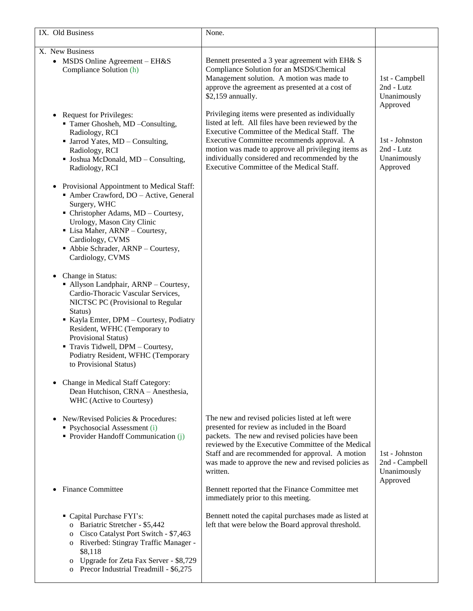| IX. Old Business                                                                                                                                                                                                                                                                                                                                                 | None.                                                                                                                                                                                                                                                                                                                                                        |                                                                     |
|------------------------------------------------------------------------------------------------------------------------------------------------------------------------------------------------------------------------------------------------------------------------------------------------------------------------------------------------------------------|--------------------------------------------------------------------------------------------------------------------------------------------------------------------------------------------------------------------------------------------------------------------------------------------------------------------------------------------------------------|---------------------------------------------------------------------|
| X. New Business<br>• MSDS Online Agreement - EH&S<br>Compliance Solution (h)                                                                                                                                                                                                                                                                                     | Bennett presented a 3 year agreement with EH& S<br>Compliance Solution for an MSDS/Chemical<br>Management solution. A motion was made to<br>approve the agreement as presented at a cost of<br>\$2,159 annually.                                                                                                                                             | 1st - Campbell<br>2nd - Lutz<br>Unanimously                         |
| <b>Request for Privileges:</b><br>Tamer Ghosheh, MD -Consulting,<br>Radiology, RCI<br>$\blacksquare$ Jarrod Yates, MD – Consulting,<br>Radiology, RCI<br>• Joshua McDonald, MD - Consulting,<br>Radiology, RCI                                                                                                                                                   | Privileging items were presented as individually<br>listed at left. All files have been reviewed by the<br>Executive Committee of the Medical Staff. The<br>Executive Committee recommends approval. A<br>motion was made to approve all privileging items as<br>individually considered and recommended by the<br>Executive Committee of the Medical Staff. | Approved<br>1st - Johnston<br>2nd - Lutz<br>Unanimously<br>Approved |
| • Provisional Appointment to Medical Staff:<br>Amber Crawford, DO - Active, General<br>Surgery, WHC<br>$\blacksquare$ Christopher Adams, MD – Courtesy,<br>Urology, Mason City Clinic<br>• Lisa Maher, ARNP - Courtesy,<br>Cardiology, CVMS<br>• Abbie Schrader, ARNP - Courtesy,<br>Cardiology, CVMS                                                            |                                                                                                                                                                                                                                                                                                                                                              |                                                                     |
| Change in Status:<br>$\bullet$<br>• Allyson Landphair, ARNP - Courtesy,<br>Cardio-Thoracic Vascular Services,<br>NICTSC PC (Provisional to Regular<br>Status)<br>Kayla Emter, DPM - Courtesy, Podiatry<br>Resident, WFHC (Temporary to<br>Provisional Status)<br>Travis Tidwell, DPM - Courtesy,<br>Podiatry Resident, WFHC (Temporary<br>to Provisional Status) |                                                                                                                                                                                                                                                                                                                                                              |                                                                     |
| Change in Medical Staff Category:<br>Dean Hutchison, CRNA - Anesthesia,<br>WHC (Active to Courtesy)                                                                                                                                                                                                                                                              |                                                                                                                                                                                                                                                                                                                                                              |                                                                     |
| New/Revised Policies & Procedures:<br>$\bullet$<br>• Psychosocial Assessment (i)<br>• Provider Handoff Communication (j)                                                                                                                                                                                                                                         | The new and revised policies listed at left were<br>presented for review as included in the Board<br>packets. The new and revised policies have been<br>reviewed by the Executive Committee of the Medical<br>Staff and are recommended for approval. A motion<br>was made to approve the new and revised policies as<br>written.                            | 1st - Johnston<br>2nd - Campbell<br>Unanimously                     |
| <b>Finance Committee</b><br>$\bullet$                                                                                                                                                                                                                                                                                                                            | Bennett reported that the Finance Committee met<br>immediately prior to this meeting.                                                                                                                                                                                                                                                                        | Approved                                                            |
| Capital Purchase FYI's:<br>o Bariatric Stretcher - \$5,442<br>Cisco Catalyst Port Switch - \$7,463<br>$\mathbf{O}$<br>o Riverbed: Stingray Traffic Manager -<br>\$8,118<br>Upgrade for Zeta Fax Server - \$8,729<br>$\mathbf{o}$<br>Precor Industrial Treadmill - \$6,275<br>$\mathbf{O}$                                                                        | Bennett noted the capital purchases made as listed at<br>left that were below the Board approval threshold.                                                                                                                                                                                                                                                  |                                                                     |